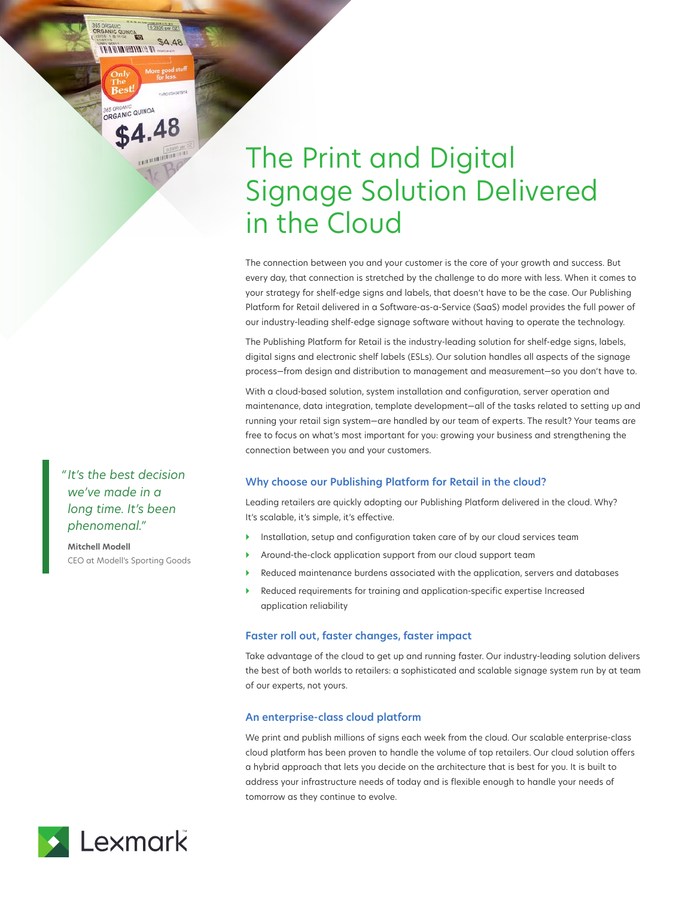# The Print and Digital Signage Solution Delivered in the Cloud

The connection between you and your customer is the core of your growth and success. But every day, that connection is stretched by the challenge to do more with less. When it comes to your strategy for shelf-edge signs and labels, that doesn't have to be the case. Our Publishing Platform for Retail delivered in a Software-as-a-Service (SaaS) model provides the full power of our industry-leading shelf-edge signage software without having to operate the technology.

The Publishing Platform for Retail is the industry-leading solution for shelf-edge signs, labels, digital signs and electronic shelf labels (ESLs). Our solution handles all aspects of the signage process—from design and distribution to management and measurement—so you don't have to.

With a cloud-based solution, system installation and configuration, server operation and maintenance, data integration, template development—all of the tasks related to setting up and running your retail sign system—are handled by our team of experts. The result? Your teams are free to focus on what's most important for you: growing your business and strengthening the connection between you and your customers.

# **Why choose our Publishing Platform for Retail in the cloud?**

Leading retailers are quickly adopting our Publishing Platform delivered in the cloud. Why? It's scalable, it's simple, it's effective.

- Installation, setup and configuration taken care of by our cloud services team
- Around-the-clock application support from our cloud support team
- Reduced maintenance burdens associated with the application, servers and databases
- } Reduced requirements for training and application-specific expertise Increased application reliability

### **Faster roll out, faster changes, faster impact**

Take advantage of the cloud to get up and running faster. Our industry-leading solution delivers the best of both worlds to retailers: a sophisticated and scalable signage system run by at team of our experts, not yours.

#### **An enterprise-class cloud platform**

We print and publish millions of signs each week from the cloud. Our scalable enterprise-class cloud platform has been proven to handle the volume of top retailers. Our cloud solution offers a hybrid approach that lets you decide on the architecture that is best for you. It is built to address your infrastructure needs of today and is flexible enough to handle your needs of tomorrow as they continue to evolve.

*" It's the best decision we've made in a long time. It's been phenomenal."*

S ORGANIC<br>RGANIC QUINOA

**SE SI BHEN MITH AS** 

365 ORGANIC<br>ORGANIC QUINOA

\$4.48

\$4.48

**Mitchell Modell** CEO at Modell's Sporting Goods